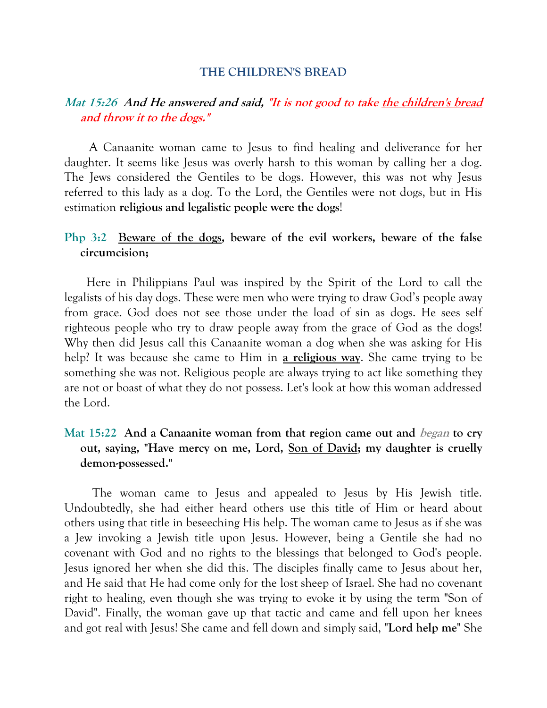## **THE CHILDREN'S BREAD**

## **Mat 15:26 And He answered and said, "It is not good to take the children's bread and throw it to the dogs."**

 A Canaanite woman came to Jesus to find healing and deliverance for her daughter. It seems like Jesus was overly harsh to this woman by calling her a dog. The Jews considered the Gentiles to be dogs. However, this was not why Jesus referred to this lady as a dog. To the Lord, the Gentiles were not dogs, but in His estimation **religious and legalistic people were the dogs**!

## **Php 3:2 Beware of the dogs, beware of the evil workers, beware of the false circumcision;**

 Here in Philippians Paul was inspired by the Spirit of the Lord to call the legalists of his day dogs. These were men who were trying to draw God's people away from grace. God does not see those under the load of sin as dogs. He sees self righteous people who try to draw people away from the grace of God as the dogs! Why then did Jesus call this Canaanite woman a dog when she was asking for His help? It was because she came to Him in **a religious way**. She came trying to be something she was not. Religious people are always trying to act like something they are not or boast of what they do not possess. Let's look at how this woman addressed the Lord.

## **Mat 15:22 And a Canaanite woman from that region came out and began to cry out, saying, "Have mercy on me, Lord, Son of David; my daughter is cruelly demon-possessed."**

 The woman came to Jesus and appealed to Jesus by His Jewish title. Undoubtedly, she had either heard others use this title of Him or heard about others using that title in beseeching His help. The woman came to Jesus as if she was a Jew invoking a Jewish title upon Jesus. However, being a Gentile she had no covenant with God and no rights to the blessings that belonged to God's people. Jesus ignored her when she did this. The disciples finally came to Jesus about her, and He said that He had come only for the lost sheep of Israel. She had no covenant right to healing, even though she was trying to evoke it by using the term "Son of David". Finally, the woman gave up that tactic and came and fell upon her knees and got real with Jesus! She came and fell down and simply said, "**Lord help me**" She